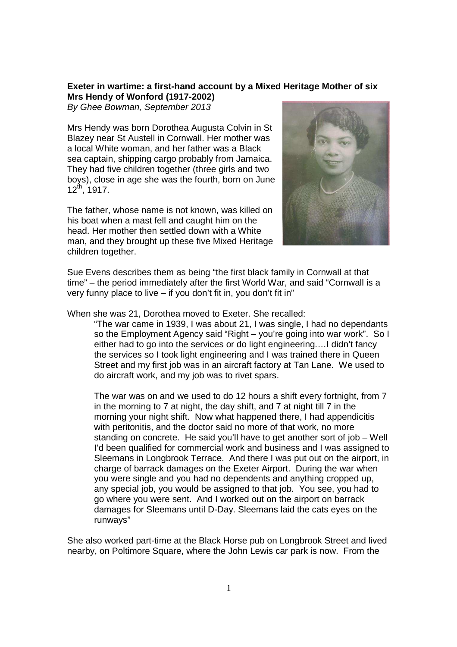## **Exeter in wartime: a first-hand account by a Mixed Heritage Mother of six Mrs Hendy of Wonford (1917-2002)**

By Ghee Bowman, September 2013

Mrs Hendy was born Dorothea Augusta Colvin in St Blazey near St Austell in Cornwall. Her mother was a local White woman, and her father was a Black sea captain, shipping cargo probably from Jamaica. They had five children together (three girls and two boys), close in age she was the fourth, born on June  $12^{th}$ , 1917.

The father, whose name is not known, was killed on his boat when a mast fell and caught him on the head. Her mother then settled down with a White man, and they brought up these five Mixed Heritage children together.



Sue Evens describes them as being "the first black family in Cornwall at that time" – the period immediately after the first World War, and said "Cornwall is a very funny place to live – if you don't fit in, you don't fit in"

## When she was 21, Dorothea moved to Exeter. She recalled:

"The war came in 1939, I was about 21, I was single, I had no dependants so the Employment Agency said "Right – you're going into war work". So I either had to go into the services or do light engineering.…I didn't fancy the services so I took light engineering and I was trained there in Queen Street and my first job was in an aircraft factory at Tan Lane. We used to do aircraft work, and my job was to rivet spars.

The war was on and we used to do 12 hours a shift every fortnight, from 7 in the morning to 7 at night, the day shift, and 7 at night till 7 in the morning your night shift. Now what happened there, I had appendicitis with peritonitis, and the doctor said no more of that work, no more standing on concrete. He said you'll have to get another sort of job – Well I'd been qualified for commercial work and business and I was assigned to Sleemans in Longbrook Terrace. And there I was put out on the airport, in charge of barrack damages on the Exeter Airport. During the war when you were single and you had no dependents and anything cropped up, any special job, you would be assigned to that job. You see, you had to go where you were sent. And I worked out on the airport on barrack damages for Sleemans until D-Day. Sleemans laid the cats eyes on the runways"

She also worked part-time at the Black Horse pub on Longbrook Street and lived nearby, on Poltimore Square, where the John Lewis car park is now. From the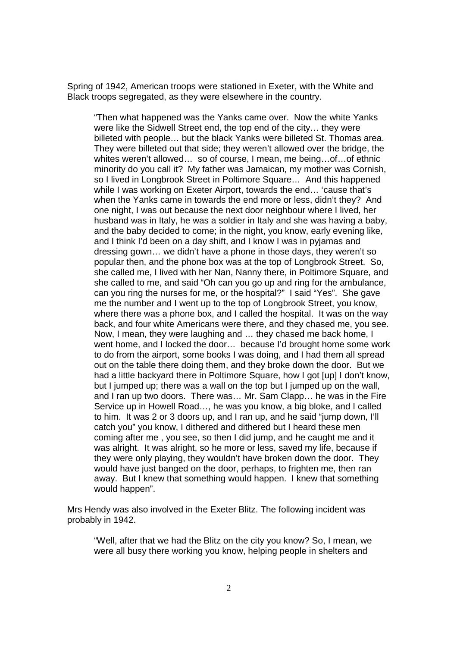Spring of 1942, American troops were stationed in Exeter, with the White and Black troops segregated, as they were elsewhere in the country.

"Then what happened was the Yanks came over. Now the white Yanks were like the Sidwell Street end, the top end of the city… they were billeted with people… but the black Yanks were billeted St. Thomas area. They were billeted out that side; they weren't allowed over the bridge, the whites weren't allowed… so of course, I mean, me being…of…of ethnic minority do you call it? My father was Jamaican, my mother was Cornish, so I lived in Longbrook Street in Poltimore Square… And this happened while I was working on Exeter Airport, towards the end… 'cause that's when the Yanks came in towards the end more or less, didn't they? And one night, I was out because the next door neighbour where I lived, her husband was in Italy, he was a soldier in Italy and she was having a baby, and the baby decided to come; in the night, you know, early evening like, and I think I'd been on a day shift, and I know I was in pyjamas and dressing gown… we didn't have a phone in those days, they weren't so popular then, and the phone box was at the top of Longbrook Street. So, she called me, I lived with her Nan, Nanny there, in Poltimore Square, and she called to me, and said "Oh can you go up and ring for the ambulance, can you ring the nurses for me, or the hospital?" I said "Yes". She gave me the number and I went up to the top of Longbrook Street, you know, where there was a phone box, and I called the hospital. It was on the way back, and four white Americans were there, and they chased me, you see. Now, I mean, they were laughing and … they chased me back home, I went home, and I locked the door… because I'd brought home some work to do from the airport, some books I was doing, and I had them all spread out on the table there doing them, and they broke down the door. But we had a little backyard there in Poltimore Square, how I got [up] I don't know, but I jumped up; there was a wall on the top but I jumped up on the wall, and I ran up two doors. There was… Mr. Sam Clapp… he was in the Fire Service up in Howell Road…, he was you know, a big bloke, and I called to him. It was 2 or 3 doors up, and I ran up, and he said "jump down, I'll catch you" you know, I dithered and dithered but I heard these men coming after me , you see, so then I did jump, and he caught me and it was alright. It was alright, so he more or less, saved my life, because if they were only playing, they wouldn't have broken down the door. They would have just banged on the door, perhaps, to frighten me, then ran away. But I knew that something would happen. I knew that something would happen".

Mrs Hendy was also involved in the Exeter Blitz. The following incident was probably in 1942.

"Well, after that we had the Blitz on the city you know? So, I mean, we were all busy there working you know, helping people in shelters and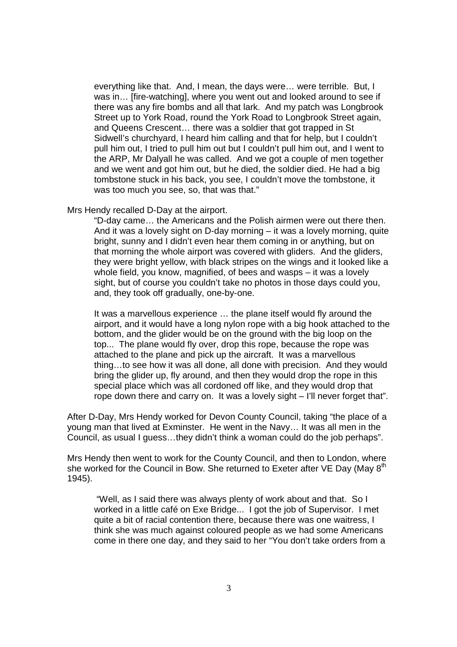everything like that. And, I mean, the days were… were terrible. But, I was in… [fire-watching], where you went out and looked around to see if there was any fire bombs and all that lark. And my patch was Longbrook Street up to York Road, round the York Road to Longbrook Street again, and Queens Crescent… there was a soldier that got trapped in St Sidwell's churchyard, I heard him calling and that for help, but I couldn't pull him out, I tried to pull him out but I couldn't pull him out, and I went to the ARP, Mr Dalyall he was called. And we got a couple of men together and we went and got him out, but he died, the soldier died. He had a big tombstone stuck in his back, you see, I couldn't move the tombstone, it was too much you see, so, that was that."

## Mrs Hendy recalled D-Day at the airport.

"D-day came… the Americans and the Polish airmen were out there then. And it was a lovely sight on D-day morning – it was a lovely morning, quite bright, sunny and I didn't even hear them coming in or anything, but on that morning the whole airport was covered with gliders. And the gliders, they were bright yellow, with black stripes on the wings and it looked like a whole field, you know, magnified, of bees and wasps – it was a lovely sight, but of course you couldn't take no photos in those days could you, and, they took off gradually, one-by-one.

It was a marvellous experience … the plane itself would fly around the airport, and it would have a long nylon rope with a big hook attached to the bottom, and the glider would be on the ground with the big loop on the top... The plane would fly over, drop this rope, because the rope was attached to the plane and pick up the aircraft. It was a marvellous thing…to see how it was all done, all done with precision. And they would bring the glider up, fly around, and then they would drop the rope in this special place which was all cordoned off like, and they would drop that rope down there and carry on. It was a lovely sight – I'll never forget that".

After D-Day, Mrs Hendy worked for Devon County Council, taking "the place of a young man that lived at Exminster. He went in the Navy… It was all men in the Council, as usual I guess…they didn't think a woman could do the job perhaps".

Mrs Hendy then went to work for the County Council, and then to London, where she worked for the Council in Bow. She returned to Exeter after VE Day (May  $8<sup>th</sup>$ ) 1945).

 "Well, as I said there was always plenty of work about and that. So I worked in a little café on Exe Bridge... I got the job of Supervisor. I met quite a bit of racial contention there, because there was one waitress, I think she was much against coloured people as we had some Americans come in there one day, and they said to her "You don't take orders from a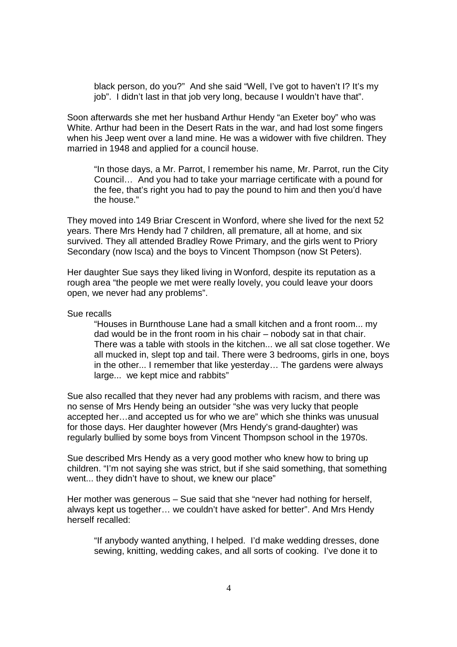black person, do you?" And she said "Well, I've got to haven't I? It's my job". I didn't last in that job very long, because I wouldn't have that".

Soon afterwards she met her husband Arthur Hendy "an Exeter boy" who was White. Arthur had been in the Desert Rats in the war, and had lost some fingers when his Jeep went over a land mine. He was a widower with five children. They married in 1948 and applied for a council house.

"In those days, a Mr. Parrot, I remember his name, Mr. Parrot, run the City Council… And you had to take your marriage certificate with a pound for the fee, that's right you had to pay the pound to him and then you'd have the house."

They moved into 149 Briar Crescent in Wonford, where she lived for the next 52 years. There Mrs Hendy had 7 children, all premature, all at home, and six survived. They all attended Bradley Rowe Primary, and the girls went to Priory Secondary (now Isca) and the boys to Vincent Thompson (now St Peters).

Her daughter Sue says they liked living in Wonford, despite its reputation as a rough area "the people we met were really lovely, you could leave your doors open, we never had any problems".

## Sue recalls

"Houses in Burnthouse Lane had a small kitchen and a front room... my dad would be in the front room in his chair – nobody sat in that chair. There was a table with stools in the kitchen... we all sat close together. We all mucked in, slept top and tail. There were 3 bedrooms, girls in one, boys in the other... I remember that like yesterday… The gardens were always large... we kept mice and rabbits"

Sue also recalled that they never had any problems with racism, and there was no sense of Mrs Hendy being an outsider "she was very lucky that people accepted her…and accepted us for who we are" which she thinks was unusual for those days. Her daughter however (Mrs Hendy's grand-daughter) was regularly bullied by some boys from Vincent Thompson school in the 1970s.

Sue described Mrs Hendy as a very good mother who knew how to bring up children. "I'm not saying she was strict, but if she said something, that something went... they didn't have to shout, we knew our place"

Her mother was generous – Sue said that she "never had nothing for herself, always kept us together… we couldn't have asked for better". And Mrs Hendy herself recalled:

"If anybody wanted anything, I helped. I'd make wedding dresses, done sewing, knitting, wedding cakes, and all sorts of cooking. I've done it to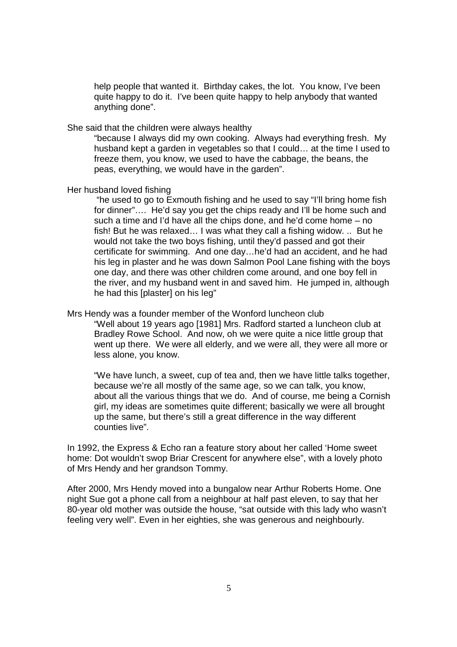help people that wanted it. Birthday cakes, the lot. You know, I've been quite happy to do it. I've been quite happy to help anybody that wanted anything done".

She said that the children were always healthy

"because I always did my own cooking. Always had everything fresh. My husband kept a garden in vegetables so that I could… at the time I used to freeze them, you know, we used to have the cabbage, the beans, the peas, everything, we would have in the garden".

Her husband loved fishing

 "he used to go to Exmouth fishing and he used to say "I'll bring home fish for dinner"…. He'd say you get the chips ready and I'll be home such and such a time and I'd have all the chips done, and he'd come home – no fish! But he was relaxed… I was what they call a fishing widow. .. But he would not take the two boys fishing, until they'd passed and got their certificate for swimming. And one day…he'd had an accident, and he had his leg in plaster and he was down Salmon Pool Lane fishing with the boys one day, and there was other children come around, and one boy fell in the river, and my husband went in and saved him. He jumped in, although he had this [plaster] on his leg"

Mrs Hendy was a founder member of the Wonford luncheon club

"Well about 19 years ago [1981] Mrs. Radford started a luncheon club at Bradley Rowe School. And now, oh we were quite a nice little group that went up there. We were all elderly, and we were all, they were all more or less alone, you know.

"We have lunch, a sweet, cup of tea and, then we have little talks together, because we're all mostly of the same age, so we can talk, you know, about all the various things that we do. And of course, me being a Cornish girl, my ideas are sometimes quite different; basically we were all brought up the same, but there's still a great difference in the way different counties live".

In 1992, the Express & Echo ran a feature story about her called 'Home sweet home: Dot wouldn't swop Briar Crescent for anywhere else", with a lovely photo of Mrs Hendy and her grandson Tommy.

After 2000, Mrs Hendy moved into a bungalow near Arthur Roberts Home. One night Sue got a phone call from a neighbour at half past eleven, to say that her 80-year old mother was outside the house, "sat outside with this lady who wasn't feeling very well". Even in her eighties, she was generous and neighbourly.